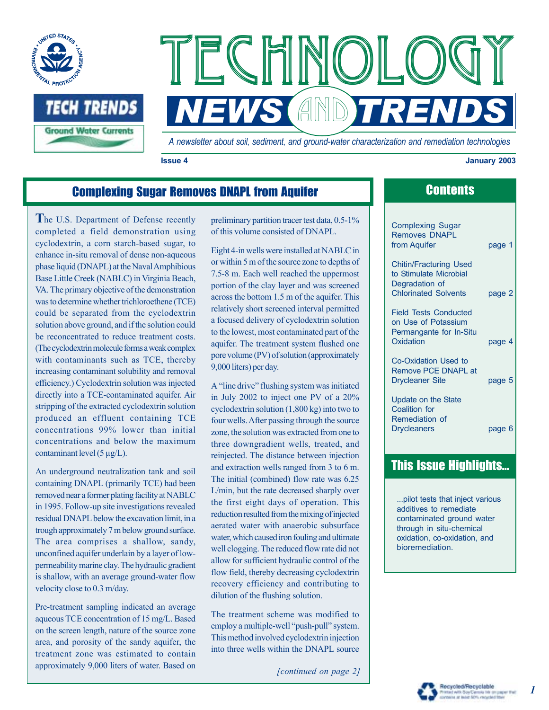



*A newsletter about soil, sediment, and ground-water characterization and remediation technologies* 

**Issue 4 January 2003** 

# **Complexing Sugar Removes DNAPL from Aquifer Complexing Sugar Removes DNAPL from Aquifer Complexity Contents**

**T**he U.S. Department of Defense recently completed a field demonstration using cyclodextrin, a corn starch-based sugar, to enhance in-situ removal of dense non-aqueous phase liquid (DNAPL) at the Naval Amphibious Base Little Creek (NABLC) in Virginia Beach, VA. The primary objective of the demonstration was to determine whether trichloroethene (TCE) could be separated from the cyclodextrin solution above ground, and if the solution could be reconcentrated to reduce treatment costs. (The cyclodextrin molecule forms a weak complex with contaminants such as TCE, thereby increasing contaminant solubility and removal efficiency.) Cyclodextrin solution was injected directly into a TCE-contaminated aquifer. Air stripping of the extracted cyclodextrin solution produced an effluent containing TCE concentrations 99% lower than initial concentrations and below the maximum contaminant level (5 µg/L).

An underground neutralization tank and soil containing DNAPL (primarily TCE) had been removed near a former plating facility at NABLC in 1995. Follow-up site investigations revealed residual DNAPL below the excavation limit, in a trough approximately 7 m below ground surface. The area comprises a shallow, sandy, unconfined aquifer underlain by a layer of lowpermeability marine clay. The hydraulic gradient is shallow, with an average ground-water flow velocity close to 0.3 m/day.

Pre-treatment sampling indicated an average aqueous TCE concentration of 15 mg/L. Based on the screen length, nature of the source zone area, and porosity of the sandy aquifer, the treatment zone was estimated to contain approximately 9,000 liters of water. Based on

preliminary partition tracer test data, 0.5-1% of this volume consisted of DNAPL.

Eight 4-in wells were installed at NABLC in or within 5 m of the source zone to depths of 7.5-8 m. Each well reached the uppermost portion of the clay layer and was screened across the bottom 1.5 m of the aquifer. This relatively short screened interval permitted a focused delivery of cyclodextrin solution to the lowest, most contaminated part of the aquifer. The treatment system flushed one pore volume (PV) of solution (approximately 9,000 liters) per day.

A "line drive" flushing system was initiated in July 2002 to inject one PV of a 20% cyclodextrin solution (1,800 kg) into two to four wells. After passing through the source zone, the solution was extracted from one to three downgradient wells, treated, and reinjected. The distance between injection and extraction wells ranged from 3 to 6 m. The initial (combined) flow rate was 6.25 L/min, but the rate decreased sharply over the first eight days of operation. This reduction resulted from the mixing of injected aerated water with anaerobic subsurface water, which caused iron fouling and ultimate well clogging. The reduced flow rate did not allow for sufficient hydraulic control of the flow field, thereby decreasing cyclodextrin recovery efficiency and contributing to dilution of the flushing solution.

The treatment scheme was modified to employ a multiple-well "push-pull" system. This method involved cyclodextrin injection into three wells within the DNAPL source

*[continued on page 2]* 

| <b>Complexing Sugar</b><br><b>Removes DNAPL</b><br>from Aquifer                             | page 1 |
|---------------------------------------------------------------------------------------------|--------|
| <b>Chitin/Fracturing Used</b>                                                               |        |
| to Stimulate Microbial                                                                      |        |
| Degradation of                                                                              |        |
| <b>Chlorinated Solvents</b>                                                                 | page 2 |
| <b>Field Tests Conducted</b><br>on Use of Potassium<br>Permangante for In-Situ<br>Oxidation | page 4 |
| Co-Oxidation Used to                                                                        |        |
| Remove PCE DNAPL at                                                                         |        |
| <b>Drycleaner Site</b>                                                                      | page 5 |
|                                                                                             |        |
| <b>Update on the State</b>                                                                  |        |
| <b>Coalition for</b>                                                                        |        |
| Remediation of                                                                              |        |
| <b>Drycleaners</b>                                                                          | page 6 |

# **This Issue Highlights...**

...pilot tests that inject various additives to remediate contaminated ground water through in situ-chemical oxidation, co-oxidation, and bioremediation.



let 50% recycled to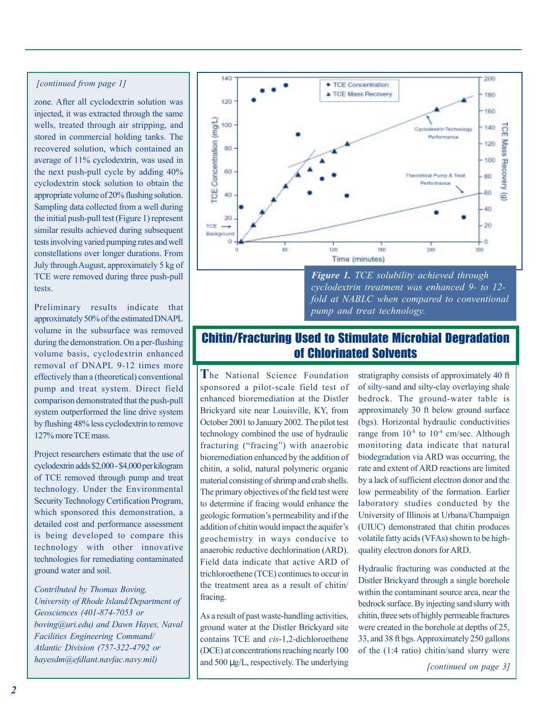#### *[continued from page 1]*

zone. After all cyclodextrin solution was injected, it was extracted through the same wells, treated through air stripping, and stored in commercial holding tanks. The recovered solution, which contained an average of 11% cyclodextrin, was used in the next push-pull cycle by adding 40% cyclodextrin stock solution to obtain the appropriate volume of 20% flushing solution. Sampling data collected from a well during the initial push-pull test (Figure 1) represent similar results achieved during subsequent tests involving varied pumping rates and well constellations over longer durations. From July through August, approximately 5 kg of TCE were removed during three push-pull tests.

Preliminary results indicate that approximately 50% of the estimated DNAPL volume in the subsurface was removed during the demonstration. On a per-flushing volume basis, cyclodextrin enhanced removal of DNAPL 9-12 times more effectively than a (theoretical) conventional pump and treat system. Direct field comparison demonstrated that the push-pull system outperformed the line drive system by flushing 48% less cyclodextrin to remove 127% more TCE mass.

Project researchers estimate that the use of cyclodextrin adds \$2,000 - \$4,000 per kilogram of TCE removed through pump and treat technology. Under the Environmental Security Technology Certification Program, which sponsored this demonstration, a detailed cost and performance assessment is being developed to compare this technology with other innovative technologies for remediating contaminated ground water and soil.

*Contributed by Thomas Boving, University of Rhode Island/Department of Geosciences (401-874-7053 or boving@uri.edu) and Dawn Hayes, Naval Facilities Engineering Command/ Atlantic Division (757-322-4792 or* 



*cyclodextrin treatment was enhanced 9- to 12 fold at NABLC when compared to conventional pump and treat technology.* 

# Chitin/Fracturing Used to Stimulate Microbial Degradation of Chlorinated Solvents

**T**he National Science Foundation sponsored a pilot-scale field test of enhanced bioremediation at the Distler Brickyard site near Louisville, KY, from October 2001 to January 2002. The pilot test technology combined the use of hydraulic fracturing ("fracing") with anaerobic bioremediation enhanced by the addition of chitin, a solid, natural polymeric organic material consisting of shrimp and crab shells. The primary objectives of the field test were to determine if fracing would enhance the geologic formation's permeability and if the addition of chitin would impact the aquifer's geochemistry in ways conducive to anaerobic reductive dechlorination (ARD). Field data indicate that active ARD of trichloroethene (TCE) continues to occur in the treatment area as a result of chitin/ fracing.

*hayesdm@efdlant.navfac.navy.mil)* and 500 µg/L, respectively. The underlying [continued on page 3] As a result of past waste-handling activities, ground water at the Distler Brickyard site contains TCE and *cis*-1,2-dichloroethene (DCE) at concentrations reaching nearly 100

stratigraphy consists of approximately 40 ft of silty-sand and silty-clay overlaying shale bedrock. The ground-water table is approximately 30 ft below ground surface (bgs). Horizontal hydraulic conductivities range from  $10^{-8}$  to  $10^{-4}$  cm/sec. Although monitoring data indicate that natural biodegradation via ARD was occurring, the rate and extent of ARD reactions are limited by a lack of sufficient electron donor and the low permeability of the formation. Earlier laboratory studies conducted by the University of Illinois at Urbana/Champaign (UIUC) demonstrated that chitin produces volatile fatty acids (VFAs) shown to be highquality electron donors for ARD.

Hydraulic fracturing was conducted at the Distler Brickyard through a single borehole within the contaminant source area, near the bedrock surface. By injecting sand slurry with chitin, three sets of highly permeable fractures were created in the borehole at depths of 25, 33, and 38 ft bgs. Approximately 250 gallons of the (1:4 ratio) chitin/sand slurry were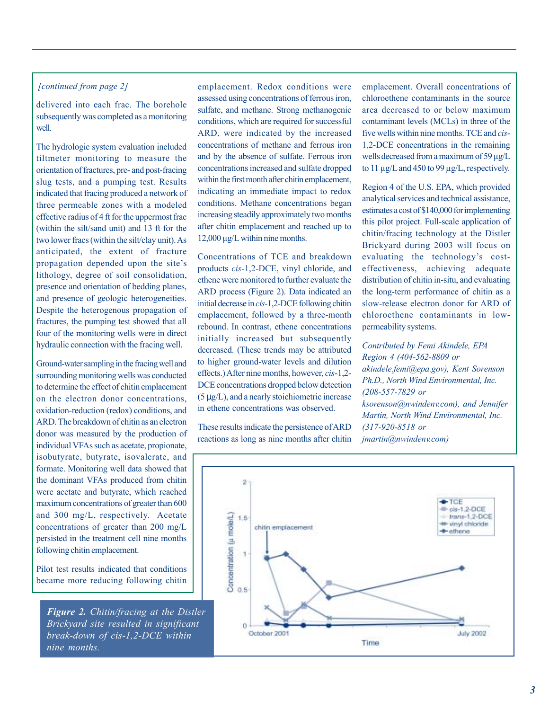### *[continued from page 2]*

delivered into each frac. The borehole subsequently was completed as a monitoring well.

The hydrologic system evaluation included tiltmeter monitoring to measure the orientation of fractures, pre- and post-fracing slug tests, and a pumping test. Results indicated that fracing produced a network of three permeable zones with a modeled effective radius of 4 ft for the uppermost frac (within the silt/sand unit) and 13 ft for the two lower fracs (within the silt/clay unit). As anticipated, the extent of fracture propagation depended upon the site's lithology, degree of soil consolidation, presence and orientation of bedding planes, and presence of geologic heterogeneities. Despite the heterogenous propagation of fractures, the pumping test showed that all four of the monitoring wells were in direct hydraulic connection with the fracing well.

Ground-water sampling in the fracing well and surrounding monitoring wells was conducted to determine the effect of chitin emplacement on the electron donor concentrations, oxidation-reduction (redox) conditions, and ARD. The breakdown of chitin as an electron donor was measured by the production of individual VFAs such as acetate, propionate, isobutyrate, butyrate, isovalerate, and formate. Monitoring well data showed that the dominant VFAs produced from chitin were acetate and butyrate, which reached maximum concentrations of greater than 600 and 300 mg/L, respectively. Acetate concentrations of greater than 200 mg/L persisted in the treatment cell nine months following chitin emplacement.

Pilot test results indicated that conditions became more reducing following chitin

*Figure 2. Chitin/fracing at the Distler Brickyard site resulted in significant break-down of cis*-*1,2-DCE within nine months.* 

emplacement. Redox conditions were assessed using concentrations of ferrous iron, sulfate, and methane. Strong methanogenic conditions, which are required for successful ARD, were indicated by the increased concentrations of methane and ferrous iron and by the absence of sulfate. Ferrous iron concentrations increased and sulfate dropped within the first month after chitin emplacement, indicating an immediate impact to redox conditions. Methane concentrations began increasing steadily approximately two months after chitin emplacement and reached up to 12,000 µg/L within nine months.

Concentrations of TCE and breakdown products *cis-*1,2-DCE, vinyl chloride, and ethene were monitored to further evaluate the ARD process (Figure 2). Data indicated an initial decrease in *cis*-1,2-DCE following chitin emplacement, followed by a three-month rebound. In contrast, ethene concentrations initially increased but subsequently decreased. (These trends may be attributed to higher ground-water levels and dilution effects.) After nine months, however, *cis*-1,2- DCE concentrations dropped below detection (5 µg/L), and a nearly stoichiometric increase in ethene concentrations was observed.

These results indicate the persistence of ARD reactions as long as nine months after chitin emplacement. Overall concentrations of chloroethene contaminants in the source area decreased to or below maximum contaminant levels (MCLs) in three of the five wells within nine months. TCE and *cis*-1,2-DCE concentrations in the remaining wells decreased from a maximum of 59 µg/L to 11 µg/L and 450 to 99 µg/L, respectively.

Region 4 of the U.S. EPA, which provided analytical services and technical assistance, estimates a cost of \$140,000 for implementing this pilot project. Full-scale application of chitin/fracing technology at the Distler Brickyard during 2003 will focus on evaluating the technology's costeffectiveness, achieving adequate distribution of chitin in-situ, and evaluating the long-term performance of chitin as a slow-release electron donor for ARD of chloroethene contaminants in lowpermeability systems.

*Contributed by Femi Akindele, EPA Region 4 (404-562-8809 or akindele.femi@epa.gov), Kent Sorenson Ph.D., North Wind Environmental, Inc. (208-557-7829 or ksorenson@nwindenv.com), and Jennifer Martin, North Wind Environmental, Inc. (317-920-8518 or jmartin@nwindenv.com)* 

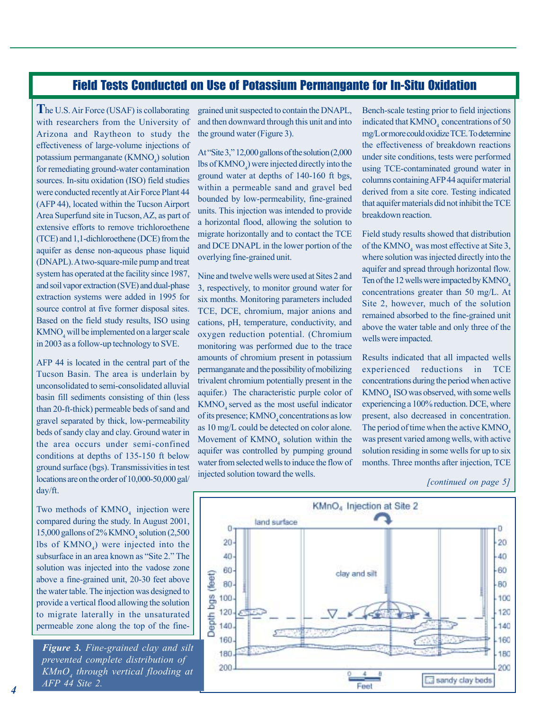## Field Tests Conducted on Use of Potassium Permangante for In-Situ Oxidation

**T**he U.S. Air Force (USAF) is collaborating with researchers from the University of Arizona and Raytheon to study the effectiveness of large-volume injections of potassium permanganate  $(KMNO<sub>4</sub>)$  solution for remediating ground-water contamination sources. In-situ oxidation (ISO) field studies were conducted recently at Air Force Plant 44 (AFP 44), located within the Tucson Airport Area Superfund site in Tucson, AZ, as part of extensive efforts to remove trichloroethene (TCE) and 1,1-dichloroethene (DCE) from the aquifer as dense non-aqueous phase liquid (DNAPL). A two-square-mile pump and treat system has operated at the facility since 1987, and soil vapor extraction (SVE) and dual-phase extraction systems were added in 1995 for source control at five former disposal sites. Based on the field study results, ISO using  $KMNO<sub>4</sub>$  will be implemented on a larger scale in 2003 as a follow-up technology to SVE.

AFP 44 is located in the central part of the Tucson Basin. The area is underlain by unconsolidated to semi-consolidated alluvial basin fill sediments consisting of thin (less than 20-ft-thick) permeable beds of sand and gravel separated by thick, low-permeability beds of sandy clay and clay. Ground water in the area occurs under semi-confined conditions at depths of 135-150 ft below ground surface (bgs). Transmissivities in test locations are on the order of 10,000-50,000 gal/ day/ft.

Two methods of  $K M NO<sub>4</sub>$  injection were compared during the study. In August 2001, 15,000 gallons of  $2\%$  KMNO<sub>4</sub> solution (2,500 lbs of  $KMNO<sub>4</sub>$ ) were injected into the subsurface in an area known as "Site 2." The solution was injected into the vadose zone above a fine-grained unit, 20-30 feet above the water table. The injection was designed to provide a vertical flood allowing the solution to migrate laterally in the unsaturated permeable zone along the top of the fine-

*Figure 3. Fine-grained clay and silt prevented complete distribution of KMnO4 through vertical flooding at AFP 44 Site 2.* 

grained unit suspected to contain the DNAPL, and then downward through this unit and into the ground water (Figure 3).

At "Site 3,"  $12,000$  gallons of the solution  $(2,000)$ lbs of  $KMNO_4$ ) were injected directly into the ground water at depths of 140-160 ft bgs, within a permeable sand and gravel bed bounded by low-permeability, fine-grained units. This injection was intended to provide a horizontal flood, allowing the solution to migrate horizontally and to contact the TCE and DCE DNAPL in the lower portion of the overlying fine-grained unit.

Nine and twelve wells were used at Sites 2 and 3, respectively, to monitor ground water for six months. Monitoring parameters included TCE, DCE, chromium, major anions and cations, pH, temperature, conductivity, and oxygen reduction potential. (Chromium monitoring was performed due to the trace amounts of chromium present in potassium permanganate and the possibility of mobilizing trivalent chromium potentially present in the aquifer.) The characteristic purple color of KMNO<sub>4</sub> served as the most useful indicator of its presence; KMNO, concentrations as low as 10 mg/L could be detected on color alone. Movement of  $KMO<sub>4</sub>$  solution within the aquifer was controlled by pumping ground water from selected wells to induce the flow of injected solution toward the wells.

Bench-scale testing prior to field injections indicated that  $KMO<sub>4</sub>$  concentrations of 50 mg/Lor more could oxidize TCE.To determine the effectiveness of breakdown reactions under site conditions, tests were performed using TCE-contaminated ground water in columns containing AFP 44 aquifer material derived from a site core. Testing indicated that aquifer materials did not inhibit the TCE breakdown reaction.

Field study results showed that distribution of the KMNO<sub>4</sub> was most effective at Site 3, where solution was injected directly into the aquifer and spread through horizontal flow. Ten of the 12 wells were impacted by  $KMO<sub>4</sub>$ concentrations greater than 50 mg/L. At Site 2, however, much of the solution remained absorbed to the fine-grained unit above the water table and only three of the wells were impacted.

Results indicated that all impacted wells experienced reductions in TCE concentrations during the period when active KMNO<sub>4</sub> ISO was observed, with some wells experiencing a 100% reduction. DCE, where present, also decreased in concentration. The period of time when the active KMNO<sub>4</sub>. was present varied among wells, with active solution residing in some wells for up to six months. Three months after injection, TCE

*<sup>[</sup>continued on page 5]* 

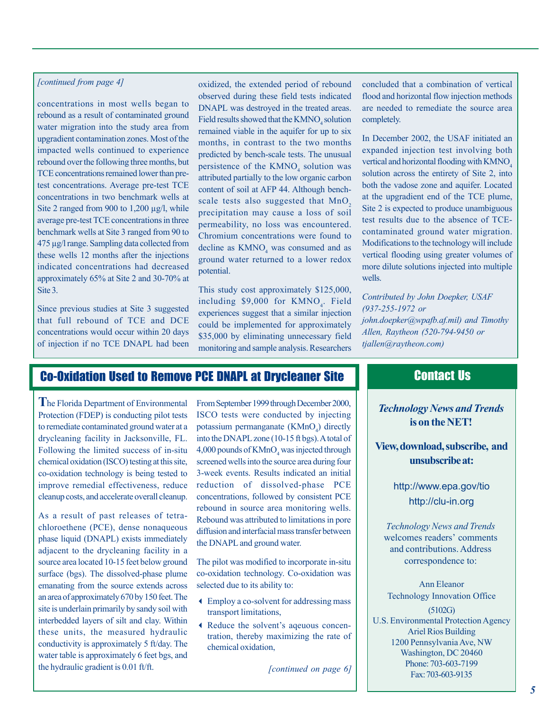#### *[continued from page 4]*

concentrations in most wells began to rebound as a result of contaminated ground water migration into the study area from upgradient contamination zones. Most of the impacted wells continued to experience rebound over the following three months, but TCE concentrations remained lower than pretest concentrations. Average pre-test TCE concentrations in two benchmark wells at Site 2 ranged from 900 to 1,200 µg/l, while average pre-test TCE concentrations in three benchmark wells at Site 3 ranged from 90 to 475 µg/l range. Sampling data collected from these wells 12 months after the injections indicated concentrations had decreased approximately 65% at Site 2 and 30-70% at Site 3.

Since previous studies at Site 3 suggested that full rebound of TCE and DCE concentrations would occur within 20 days of injection if no TCE DNAPL had been oxidized, the extended period of rebound observed during these field tests indicated DNAPL was destroyed in the treated areas. Field results showed that the  $KMNO_4$  solution remained viable in the aquifer for up to six months, in contrast to the two months predicted by bench-scale tests. The unusual persistence of the  $KMNO<sub>4</sub>$  solution was attributed partially to the low organic carbon content of soil at AFP 44. Although benchscale tests also suggested that  $MnO<sub>2</sub>$ precipitation may cause a loss of soil permeability, no loss was encountered. Chromium concentrations were found to decline as  $KMNO<sub>4</sub>$  was consumed and as ground water returned to a lower redox potential.

This study cost approximately \$125,000, including  $$9,000$  for KMNO<sub>4</sub>. Field experiences suggest that a similar injection could be implemented for approximately \$35,000 by eliminating unnecessary field monitoring and sample analysis. Researchers

concluded that a combination of vertical flood and horizontal flow injection methods are needed to remediate the source area completely.

In December 2002, the USAF initiated an expanded injection test involving both vertical and horizontal flooding with KMNO<sub>4</sub> solution across the entirety of Site 2, into both the vadose zone and aquifer. Located at the upgradient end of the TCE plume, Site 2 is expected to produce unambiguous test results due to the absence of TCEcontaminated ground water migration. Modifications to the technology will include vertical flooding using greater volumes of more dilute solutions injected into multiple wells.

*Contributed by John Doepker, USAF (937-255-1972 or john.doepker@wpafb.af.mil) and Timothy Allen, Raytheon (520-794-9450 or tjallen@raytheon.com)* 

## Co-Oxidation Used to Remove PCE DNAPL at Drycleaner Site

**T**he Florida Department of Environmental Protection (FDEP) is conducting pilot tests to remediate contaminated ground water at a drycleaning facility in Jacksonville, FL. Following the limited success of in-situ chemical oxidation (ISCO) testing at this site, co-oxidation technology is being tested to improve remedial effectiveness, reduce cleanup costs, and accelerate overall cleanup.

As a result of past releases of tetrachloroethene (PCE), dense nonaqueous phase liquid (DNAPL) exists immediately adjacent to the drycleaning facility in a source area located 10-15 feet below ground surface (bgs). The dissolved-phase plume emanating from the source extends across an area of approximately 670 by 150 feet. The site is underlain primarily by sandy soil with interbedded layers of silt and clay. Within these units, the measured hydraulic conductivity is approximately 5 ft/day. The water table is approximately 6 feet bgs, and the hydraulic gradient is 0.01 ft/ft.

From September 1999 through December 2000, ISCO tests were conducted by injecting potassium permanganate  $(KMnO<sub>4</sub>)$  directly into the DNAPL zone (10-15 ft bgs). A total of  $4,000$  pounds of  $KMnO<sub>4</sub>$  was injected through screened wells into the source area during four 3-week events. Results indicated an initial reduction of dissolved-phase PCE concentrations, followed by consistent PCE rebound in source area monitoring wells. Rebound was attributed to limitations in pore diffusion and interfacial mass transfer between the DNAPL and ground water.

The pilot was modified to incorporate in-situ co-oxidation technology. Co-oxidation was selected due to its ability to:

- 3 Employ a co-solvent for addressing mass transport limitations,
- 3 Reduce the solvent's aqeuous concentration, thereby maximizing the rate of chemical oxidation,

*[continued on page 6]* 

## Contact Us

*Technology News and Trends*  **is on the NET!** 

**View, download, subscribe, and unsubscribe at:** 

> <http://www.epa.gov/tio> <http://clu-in.org>

*Technology News and Trends*  welcomes readers' comments and contributions. Address correspondence to:

Ann Eleanor Technology Innovation Office (5102G) U.S. Environmental Protection Agency Ariel Rios Building 1200 Pennsylvania Ave, NW Washington, DC 20460 Phone: 703-603-7199 Fax: 703-603-9135